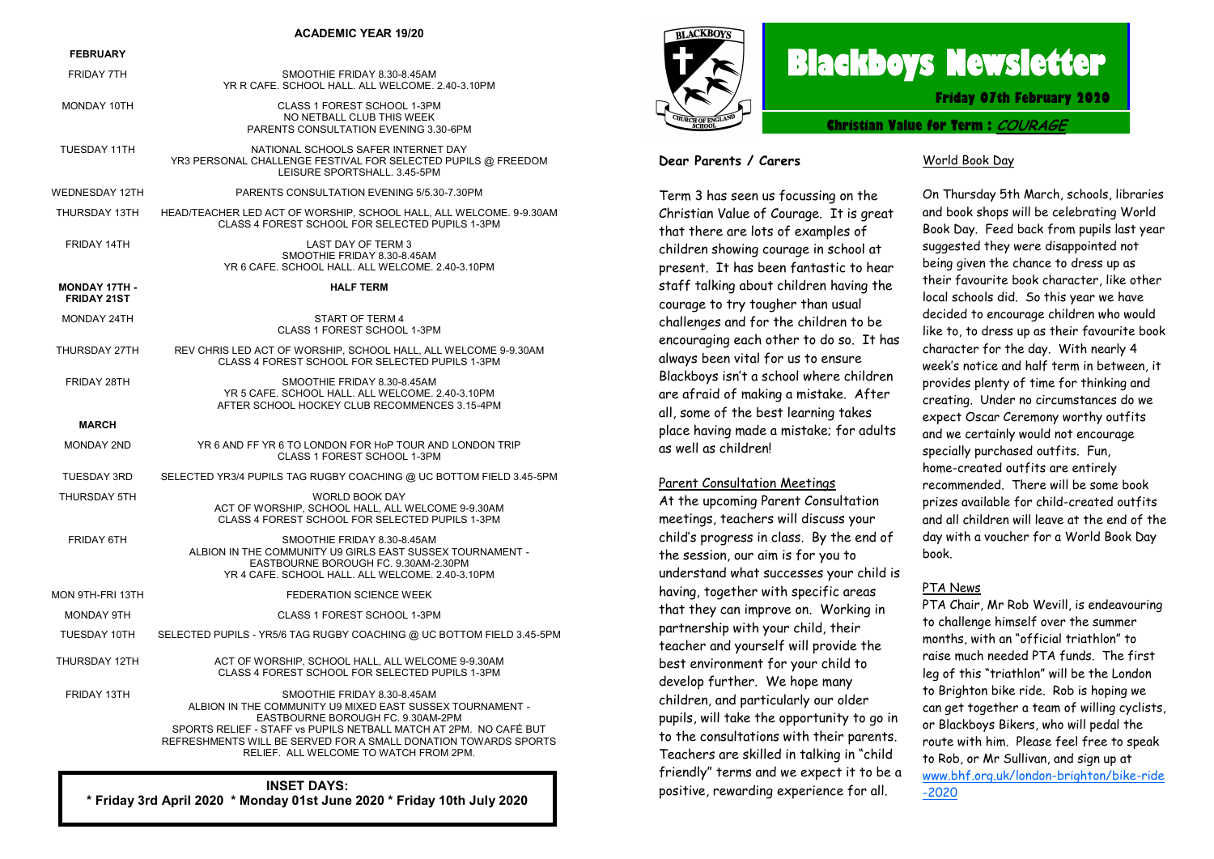#### **ACADEMIC YEAR 19/20**

#### **FEBRUARY**

| <b>FRIDAY 7TH</b>                          | SMOOTHIE FRIDAY 8.30-8.45AM<br>YR R CAFE. SCHOOL HALL. ALL WELCOME. 2.40-3.10PM                                                                                                                                                                                                                                 |
|--------------------------------------------|-----------------------------------------------------------------------------------------------------------------------------------------------------------------------------------------------------------------------------------------------------------------------------------------------------------------|
| MONDAY 10TH                                | CLASS 1 FOREST SCHOOL 1-3PM<br>NO NETBALL CLUB THIS WEEK<br>PARENTS CONSULTATION EVENING 3.30-6PM                                                                                                                                                                                                               |
| <b>TUESDAY 11TH</b>                        | NATIONAL SCHOOLS SAFER INTERNET DAY<br>YR3 PERSONAL CHALLENGE FESTIVAL FOR SELECTED PUPILS @ FREEDOM<br>LEISURE SPORTSHALL, 3.45-5PM                                                                                                                                                                            |
| WEDNESDAY 12TH                             | PARENTS CONSULTATION EVENING 5/5.30-7.30PM                                                                                                                                                                                                                                                                      |
| THURSDAY 13TH                              | HEAD/TEACHER LED ACT OF WORSHIP, SCHOOL HALL, ALL WELCOME. 9-9.30AM<br>CLASS 4 FOREST SCHOOL FOR SELECTED PUPILS 1-3PM                                                                                                                                                                                          |
| FRIDAY 14TH                                | LAST DAY OF TERM 3<br>SMOOTHIE FRIDAY 8.30-8.45AM<br>YR 6 CAFE. SCHOOL HALL. ALL WELCOME. 2.40-3.10PM                                                                                                                                                                                                           |
| <b>MONDAY 17TH -</b><br><b>FRIDAY 21ST</b> | <b>HALF TERM</b>                                                                                                                                                                                                                                                                                                |
| MONDAY 24TH                                | START OF TERM 4<br>CLASS 1 FOREST SCHOOL 1-3PM                                                                                                                                                                                                                                                                  |
| THURSDAY 27TH                              | REV CHRIS LED ACT OF WORSHIP, SCHOOL HALL, ALL WELCOME 9-9.30AM<br>CLASS 4 FOREST SCHOOL FOR SELECTED PUPILS 1-3PM                                                                                                                                                                                              |
| FRIDAY 28TH                                | SMOOTHIE FRIDAY 8.30-8.45AM<br>YR 5 CAFE. SCHOOL HALL. ALL WELCOME. 2.40-3.10PM<br>AFTER SCHOOL HOCKEY CLUB RECOMMENCES 3.15-4PM                                                                                                                                                                                |
| <b>MARCH</b>                               |                                                                                                                                                                                                                                                                                                                 |
| <b>MONDAY 2ND</b>                          | YR 6 AND FF YR 6 TO LONDON FOR HoP TOUR AND LONDON TRIP<br>CLASS 1 FOREST SCHOOL 1-3PM                                                                                                                                                                                                                          |
| <b>TUESDAY 3RD</b>                         | SELECTED YR3/4 PUPILS TAG RUGBY COACHING @ UC BOTTOM FIELD 3.45-5PM                                                                                                                                                                                                                                             |
| THURSDAY 5TH                               | WORLD BOOK DAY<br>ACT OF WORSHIP, SCHOOL HALL, ALL WELCOME 9-9.30AM<br>CLASS 4 FOREST SCHOOL FOR SELECTED PUPILS 1-3PM                                                                                                                                                                                          |
| <b>FRIDAY 6TH</b>                          | SMOOTHIE FRIDAY 8.30-8.45AM<br>ALBION IN THE COMMUNITY U9 GIRLS EAST SUSSEX TOURNAMENT -<br>EASTBOURNE BOROUGH FC. 9.30AM-2.30PM<br>YR 4 CAFE. SCHOOL HALL. ALL WELCOME. 2.40-3.10PM                                                                                                                            |
| MON 9TH-FRI 13TH                           | <b>FEDERATION SCIENCE WEEK</b>                                                                                                                                                                                                                                                                                  |
| MONDAY 9TH                                 | CLASS 1 FOREST SCHOOL 1-3PM                                                                                                                                                                                                                                                                                     |
| TUESDAY 10TH                               | SELECTED PUPILS - YR5/6 TAG RUGBY COACHING @ UC BOTTOM FIELD 3.45-5PM                                                                                                                                                                                                                                           |
| THURSDAY 12TH                              | ACT OF WORSHIP, SCHOOL HALL, ALL WELCOME 9-9.30AM<br>CLASS 4 FOREST SCHOOL FOR SELECTED PUPILS 1-3PM                                                                                                                                                                                                            |
| FRIDAY 13TH                                | SMOOTHIE FRIDAY 8.30-8.45AM<br>ALBION IN THE COMMUNITY U9 MIXED EAST SUSSEX TOURNAMENT -<br>EASTBOURNE BOROUGH FC. 9.30AM-2PM<br>SPORTS RELIEF - STAFF vs PUPILS NETBALL MATCH AT 2PM. NO CAFÉ BUT<br>REFRESHMENTS WILL BE SERVED FOR A SMALL DONATION TOWARDS SPORTS<br>RELIEF. ALL WELCOME TO WATCH FROM 2PM. |

## **INSET DAYS: \* Friday 3rd April 2020 \* Monday 01st June 2020 \* Friday 10th July 2020**



# **Blackboys Newsletter**

**Friday 07th February 2020**

**Christian Value for Term : COURAGE**

### **Dear Parents / Carers**

Term 3 has seen us focussing on the Christian Value of Courage. It is great that there are lots of examples of children showing courage in school at present. It has been fantastic to hear staff talking about children having the courage to try tougher than usual challenges and for the children to be encouraging each other to do so. It has always been vital for us to ensure Blackboys isn't a school where children are afraid of making a mistake. After all, some of the best learning takes place having made a mistake; for adults as well as children!

## Parent Consultation Meetings

At the upcoming Parent Consultation meetings, teachers will discuss your child's progress in class. By the end of the session, our aim is for you to understand what successes your child is having, together with specific areas that they can improve on. Working in partnership with your child, their teacher and yourself will provide the best environment for your child to develop further. We hope many children, and particularly our older pupils, will take the opportunity to go in to the consultations with their parents. Teachers are skilled in talking in "child friendly" terms and we expect it to be a positive, rewarding experience for all.

### World Book Day

On Thursday 5th March, schools, libraries and book shops will be celebrating World Book Day. Feed back from pupils last year suggested they were disappointed not being given the chance to dress up as their favourite book character, like other local schools did. So this year we have decided to encourage children who would like to, to dress up as their favourite book character for the day. With nearly 4 week's notice and half term in between, it provides plenty of time for thinking and creating. Under no circumstances do we expect Oscar Ceremony worthy outfits and we certainly would not encourage specially purchased outfits. Fun, home-created outfits are entirely recommended. There will be some book prizes available for child-created outfits and all children will leave at the end of the day with a voucher for a World Book Day book.

#### PTA News

PTA Chair, Mr Rob Wevill, is endeavouring to challenge himself over the summer months, with an "official triathlon" to raise much needed PTA funds. The first leg of this "triathlon" will be the London to Brighton bike ride. Rob is hoping we can get together a team of willing cyclists, or Blackboys Bikers, who will pedal the route with him. Please feel free to speak to Rob, or Mr Sullivan, and sign up at [www.bhf.org.uk/london-brighton/bike-ride](Thank%20you%20for%20asking.) [-2020](Thank%20you%20for%20asking.)